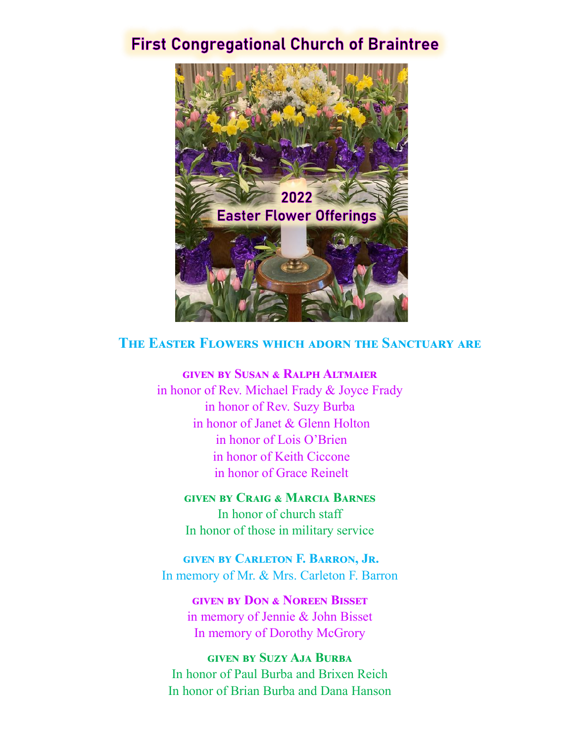# **First Congregational Church of Braintree**



#### **The Easter Flowers which adorn the Sanctuary are**

**given by Susan & Ralph Altmaier** 

in honor of Rev. Michael Frady & Joyce Frady in honor of Rev. Suzy Burba in honor of Janet & Glenn Holton in honor of Lois O'Brien in honor of Keith Ciccone in honor of Grace Reinelt

**given by Craig & Marcia Barnes** In honor of church staff In honor of those in military service

**given by Carleton F. Barron, Jr.**  In memory of Mr. & Mrs. Carleton F. Barron

> **given by Don & Noreen Bisset**  in memory of Jennie & John Bisset In memory of Dorothy McGrory

**given by Suzy Aja Burba** In honor of Paul Burba and Brixen Reich In honor of Brian Burba and Dana Hanson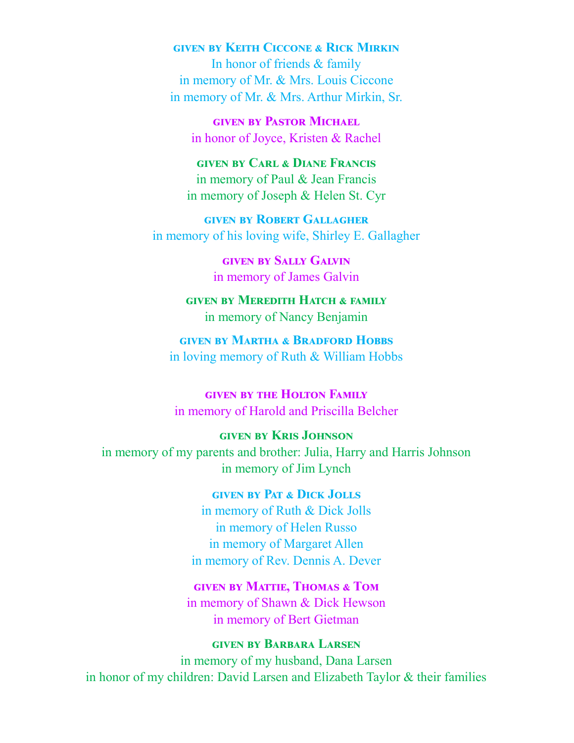## **given by Keith Ciccone & Rick Mirkin**

In honor of friends & family in memory of Mr. & Mrs. Louis Ciccone in memory of Mr. & Mrs. Arthur Mirkin, Sr.

**given by Pastor Michael**  in honor of Joyce, Kristen & Rachel

## **given by Carl & Diane Francis** in memory of Paul & Jean Francis in memory of Joseph & Helen St. Cyr

**given by Robert Gallagher** in memory of his loving wife, Shirley E. Gallagher

> **given by Sally Galvin**  in memory of James Galvin

## **given by Meredith Hatch & family**  in memory of Nancy Benjamin

## **given by Martha & Bradford Hobbs** in loving memory of Ruth & William Hobbs

## **given by the Holton Family**  in memory of Harold and Priscilla Belcher

#### **given by Kris Johnson**

in memory of my parents and brother: Julia, Harry and Harris Johnson in memory of Jim Lynch

#### **given by Pat & Dick Jolls**

in memory of Ruth & Dick Jolls in memory of Helen Russo in memory of Margaret Allen in memory of Rev. Dennis A. Dever

#### **given by Mattie, Thomas & Tom**

in memory of Shawn & Dick Hewson in memory of Bert Gietman

## **given by Barbara Larsen**

in memory of my husband, Dana Larsen in honor of my children: David Larsen and Elizabeth Taylor & their families